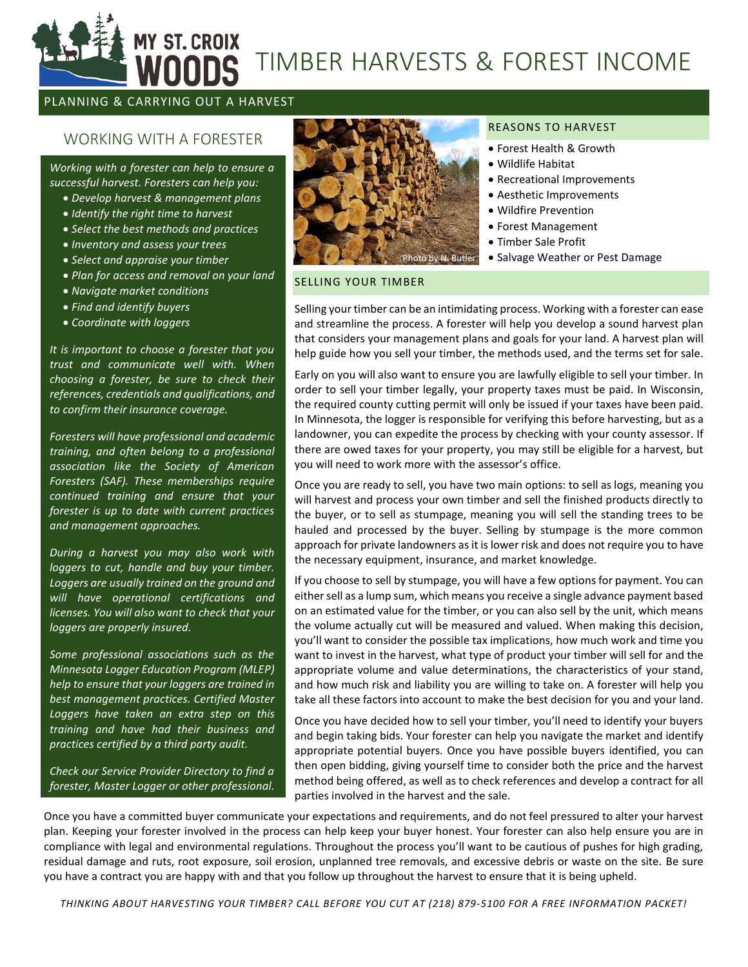# **ST. CROIX** TIMBER HARVESTS & FOREST INCOME

# PLANNING & CARRYING OUT A HARVEST

# WORKING WITH A FORESTER

*Working with a forester can help to ensure a successful harvest. Foresters can help you:*

- *Develop harvest & management plans*
- *Identify the right time to harvest*
- *Select the best methods and practices*
- *Inventory and assess your trees*
- *Select and appraise your timber*
- *Plan for access and removal on your land*
- *Navigate market conditions*
- *Find and identify buyers*
- *Coordinate with loggers*

*It is important to choose a forester that you trust and communicate well with. When choosing a forester, be sure to check their references, credentials and qualifications, and to confirm their insurance coverage.* 

*Foresters will have professional and academic training, and often belong to a professional association like the Society of American Foresters (SAF). These memberships require continued training and ensure that your forester is up to date with current practices and management approaches.*

*During a harvest you may also work with loggers to cut, handle and buy your timber. Loggers are usually trained on the ground and will have operational certifications and licenses. You will also want to check that your loggers are properly insured.*

*Some professional associations such as the Minnesota Logger Education Program (MLEP) help to ensure that your loggers are trained in best management practices. Certified Master Loggers have taken an extra step on this training and have had their business and practices certified by a third party audit.*

*Check our Service Provider Directory to find a forester, Master Logger or other professional.*



#### REASONS TO HARVEST

- Forest Health & Growth
- Wildlife Habitat
- Recreational Improvements
- Aesthetic Improvements
- Wildfire Prevention
- Forest Management
- Timber Sale Profit
- Salvage Weather or Pest Damage

#### SELLING YOUR TIMBER

Selling your timber can be an intimidating process. Working with a forester can ease and streamline the process. A forester will help you develop a sound harvest plan that considers your management plans and goals for your land. A harvest plan will help guide how you sell your timber, the methods used, and the terms set for sale.

Early on you will also want to ensure you are lawfully eligible to sell your timber. In order to sell your timber legally, your property taxes must be paid. In Wisconsin, the required county cutting permit will only be issued if your taxes have been paid. In Minnesota, the logger is responsible for verifying this before harvesting, but as a landowner, you can expedite the process by checking with your county assessor. If there are owed taxes for your property, you may still be eligible for a harvest, but you will need to work more with the assessor's office.

Once you are ready to sell, you have two main options: to sell as logs, meaning you will harvest and process your own timber and sell the finished products directly to the buyer, or to sell as stumpage, meaning you will sell the standing trees to be hauled and processed by the buyer. Selling by stumpage is the more common approach for private landowners as it is lower risk and does not require you to have the necessary equipment, insurance, and market knowledge.

If you choose to sell by stumpage, you will have a few options for payment. You can either sell as a lump sum, which means you receive a single advance payment based on an estimated value for the timber, or you can also sell by the unit, which means the volume actually cut will be measured and valued. When making this decision, you'll want to consider the possible tax implications, how much work and time you want to invest in the harvest, what type of product your timber will sell for and the appropriate volume and value determinations, the characteristics of your stand, and how much risk and liability you are willing to take on. A forester will help you take all these factors into account to make the best decision for you and your land.

Once you have decided how to sell your timber, you'll need to identify your buyers and begin taking bids. Your forester can help you navigate the market and identify appropriate potential buyers. Once you have possible buyers identified, you can then open bidding, giving yourself time to consider both the price and the harvest method being offered, as well as to check references and develop a contract for all parties involved in the harvest and the sale.

Once you have a committed buyer communicate your expectations and requirements, and do not feel pressured to alter your harvest plan. Keeping your forester involved in the process can help keep your buyer honest. Your forester can also help ensure you are in compliance with legal and environmental regulations. Throughout the process you'll want to be cautious of pushes for high grading, residual damage and ruts, root exposure, soil erosion, unplanned tree removals, and excessive debris or waste on the site. Be sure you have a contract you are happy with and that you follow up throughout the harvest to ensure that it is being upheld.

*THINKING ABOUT HARVESTING YOUR TIMBER? CALL BEFORE YOU CUT AT (218) 879-5100 FOR A FREE INFORMATION PACKET!*